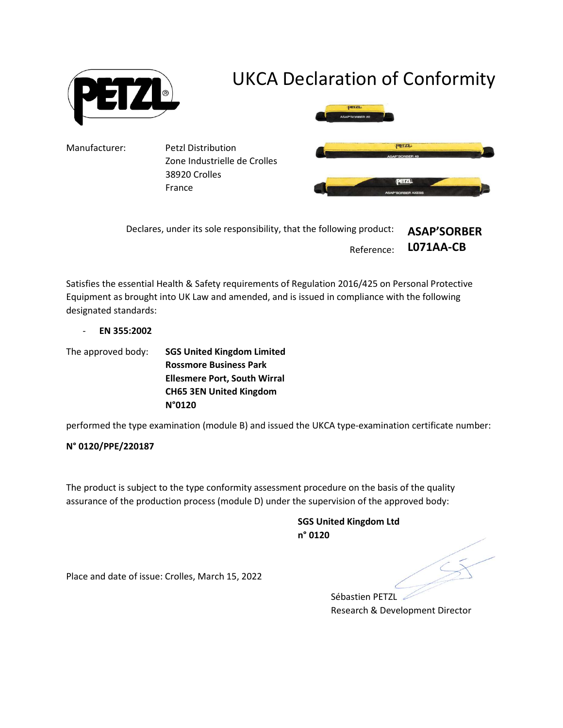

| Declares, under its sole responsibility, that the following product: | <b>ASAP'SORBER</b>   |
|----------------------------------------------------------------------|----------------------|
|                                                                      | Reference: LO71AA-CB |

Satisfies the essential Health & Safety requirements of Regulation 2016/425 on Personal Protective Equipment as brought into UK Law and amended, and is issued in compliance with the following designated standards:

- EN 355:2002

The approved body: SGS United Kingdom Limited Rossmore Business Park Ellesmere Port, South Wirral CH65 3EN United Kingdom N°0120

performed the type examination (module B) and issued the UKCA type-examination certificate number:

## N° 0120/PPE/220187

The product is subject to the type conformity assessment procedure on the basis of the quality assurance of the production process (module D) under the supervision of the approved body:

> SGS United Kingdom Ltd n° 0120

Place and date of issue: Crolles, March 15, 2022

Sébastien PETZL Research & Development Director